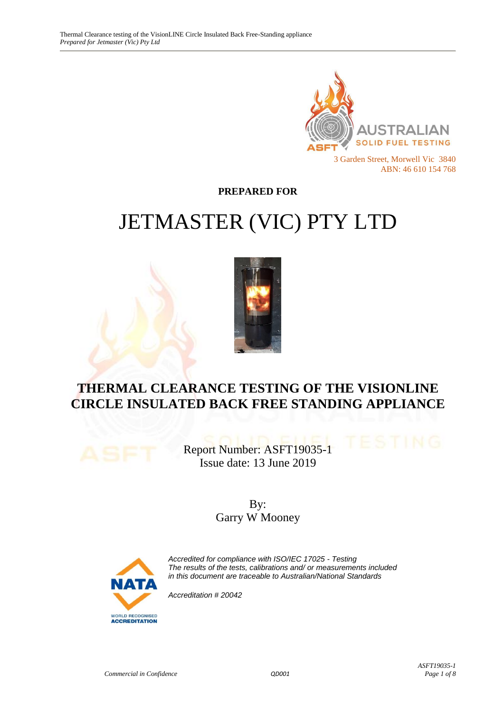

**PREPARED FOR**

# JETMASTER (VIC) PTY LTD



# **THERMAL CLEARANCE TESTING OF THE VISIONLINE CIRCLE INSULATED BACK FREE STANDING APPLIANCE**

Report Number: ASFT19035-1 Issue date: 13 June 2019

> By: Garry W Mooney



*Accredited for compliance with ISO/IEC 17025 - Testing The results of the tests, calibrations and/ or measurements included in this document are traceable to Australian/National Standards*

*Accreditation # 20042*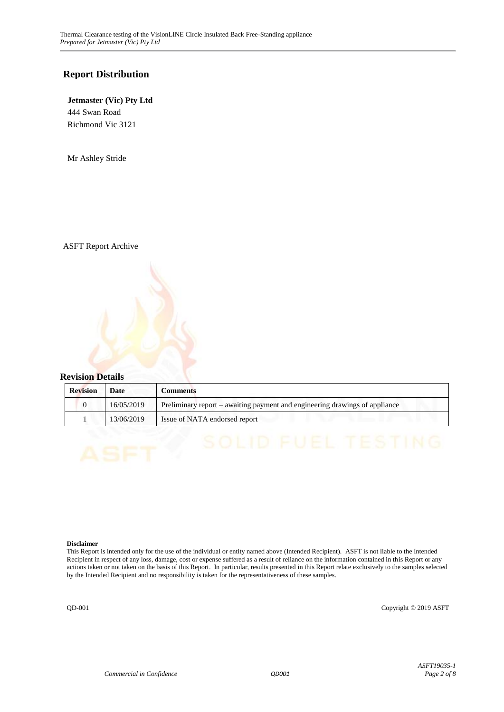#### **Report Distribution**

#### **Jetmaster (Vic) Pty Ltd** 444 Swan Road

Richmond Vic 3121

Mr Ashley Stride

ASFT Report Archive

#### **Revision Details**

| <b>Revision</b> | Date       | <b>Comments</b>                                                             |
|-----------------|------------|-----------------------------------------------------------------------------|
|                 | 16/05/2019 | Preliminary report – awaiting payment and engineering drawings of appliance |
|                 | 13/06/2019 | Issue of NATA endorsed report                                               |

#### **Disclaimer**

This Report is intended only for the use of the individual or entity named above (Intended Recipient). ASFT is not liable to the Intended Recipient in respect of any loss, damage, cost or expense suffered as a result of reliance on the information contained in this Report or any actions taken or not taken on the basis of this Report. In particular, results presented in this Report relate exclusively to the samples selected by the Intended Recipient and no responsibility is taken for the representativeness of these samples.

QD-001 Copyright © 2019 ASFT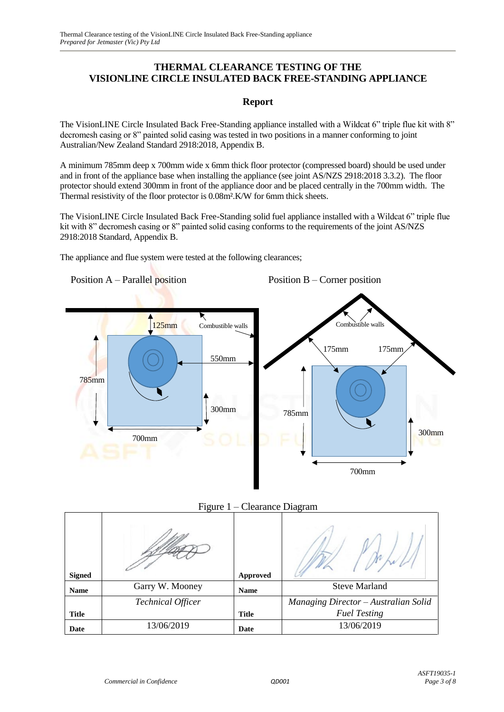#### **THERMAL CLEARANCE TESTING OF THE VISIONLINE CIRCLE INSULATED BACK FREE-STANDING APPLIANCE**

#### **Report**

The VisionLINE Circle Insulated Back Free-Standing appliance installed with a Wildcat 6" triple flue kit with 8" decromesh casing or 8" painted solid casing was tested in two positions in a manner conforming to joint Australian/New Zealand Standard 2918:2018, Appendix B.

A minimum 785mm deep x 700mm wide x 6mm thick floor protector (compressed board) should be used under and in front of the appliance base when installing the appliance (see joint AS/NZS 2918:2018 3.3.2). The floor protector should extend 300mm in front of the appliance door and be placed centrally in the 700mm width. The Thermal resistivity of the floor protector is 0.08m².K/W for 6mm thick sheets.

The VisionLINE Circle Insulated Back Free-Standing solid fuel appliance installed with a Wildcat 6" triple flue kit with 8" decromesh casing or 8" painted solid casing conforms to the requirements of the joint AS/NZS 2918:2018 Standard, Appendix B.

The appliance and flue system were tested at the following clearances;





| <b>Signed</b> |                          | <b>Approved</b> |                                      |
|---------------|--------------------------|-----------------|--------------------------------------|
| <b>Name</b>   | Garry W. Mooney          | <b>Name</b>     | <b>Steve Marland</b>                 |
|               | <b>Technical Officer</b> |                 | Managing Director - Australian Solid |
| <b>Title</b>  |                          | <b>Title</b>    | <b>Fuel Testing</b>                  |
| Date          | 13/06/2019               | Date            | 13/06/2019                           |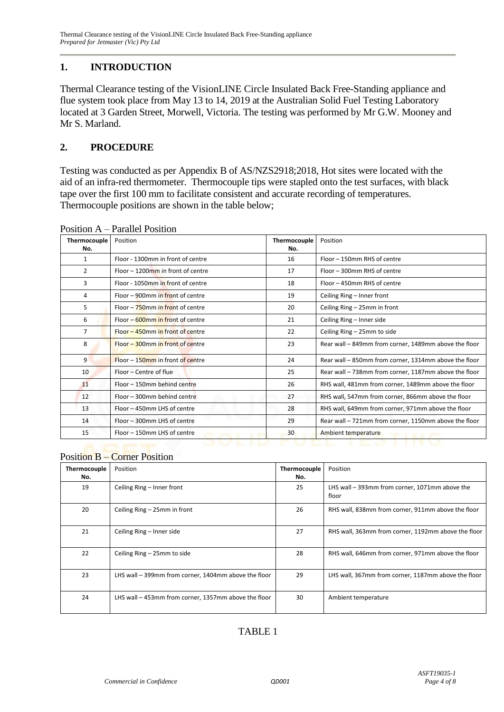## **1. INTRODUCTION**

Thermal Clearance testing of the VisionLINE Circle Insulated Back Free-Standing appliance and flue system took place from May 13 to 14, 2019 at the Australian Solid Fuel Testing Laboratory located at 3 Garden Street, Morwell, Victoria. The testing was performed by Mr G.W. Mooney and Mr S. Marland.

#### **2. PROCEDURE**

Testing was conducted as per Appendix B of AS/NZS2918;2018, Hot sites were located with the aid of an infra-red thermometer. Thermocouple tips were stapled onto the test surfaces, with black tape over the first 100 mm to facilitate consistent and accurate recording of temperatures. Thermocouple positions are shown in the table below;

| Thermocouple<br>No. | Position                             | Thermocouple<br>No. | Position                                              |
|---------------------|--------------------------------------|---------------------|-------------------------------------------------------|
| 1                   | Floor - 1300mm in front of centre    | 16                  | Floor - 150mm RHS of centre                           |
| 2                   | $Floor - 1200$ mm in front of centre | 17                  | Floor - 300mm RHS of centre                           |
| 3                   | Floor - 1050mm in front of centre    | 18                  | Floor - 450mm RHS of centre                           |
| 4                   | Floor – 900mm in front of centre     | 19                  | Ceiling Ring - Inner front                            |
| 5                   | Floor - 750mm in front of centre     | 20                  | Ceiling Ring - 25mm in front                          |
| 6                   | Floor – 600mm in front of centre     | 21                  | Ceiling Ring - Inner side                             |
| 7                   | Floor – 450mm in front of centre     | 22                  | Ceiling Ring - 25mm to side                           |
| 8                   | Floor – 300mm in front of centre     | 23                  | Rear wall - 849mm from corner, 1489mm above the floor |
| 9                   | $Floor - 150$ mm in front of centre  | 24                  | Rear wall - 850mm from corner, 1314mm above the floor |
| 10                  | Floor - Centre of flue               | 25                  | Rear wall - 738mm from corner, 1187mm above the floor |
| 11                  | Floor - 150mm behind centre          | 26                  | RHS wall, 481mm from corner, 1489mm above the floor   |
| 12                  | Floor - 300mm behind centre          | 27                  | RHS wall, 547mm from corner, 866mm above the floor    |
| 13                  | Floor - 450mm LHS of centre          | 28                  | RHS wall, 649mm from corner, 971mm above the floor    |
| 14                  | Floor - 300mm LHS of centre          | 29                  | Rear wall - 721mm from corner, 1150mm above the floor |
| 15                  | Floor - 150mm LHS of centre          | 30                  | Ambient temperature                                   |

Position A – Parallel Position

### Position B – Corner Position

| Thermocouple<br>No. | Position                                             | Thermocouple<br>No. | Position                                                |
|---------------------|------------------------------------------------------|---------------------|---------------------------------------------------------|
| 19                  | Ceiling Ring - Inner front                           | 25                  | LHS wall - 393mm from corner, 1071mm above the<br>floor |
| 20                  | Ceiling Ring - 25mm in front                         | 26                  | RHS wall, 838mm from corner, 911mm above the floor      |
| 21                  | Ceiling Ring - Inner side                            | 27                  | RHS wall, 363mm from corner, 1192mm above the floor     |
| 22                  | Ceiling Ring – 25mm to side                          | 28                  | RHS wall, 646mm from corner, 971mm above the floor      |
| 23                  | LHS wall - 399mm from corner, 1404mm above the floor | 29                  | LHS wall, 367mm from corner, 1187mm above the floor     |
| 24                  | LHS wall - 453mm from corner, 1357mm above the floor | 30                  | Ambient temperature                                     |

# TABLE 1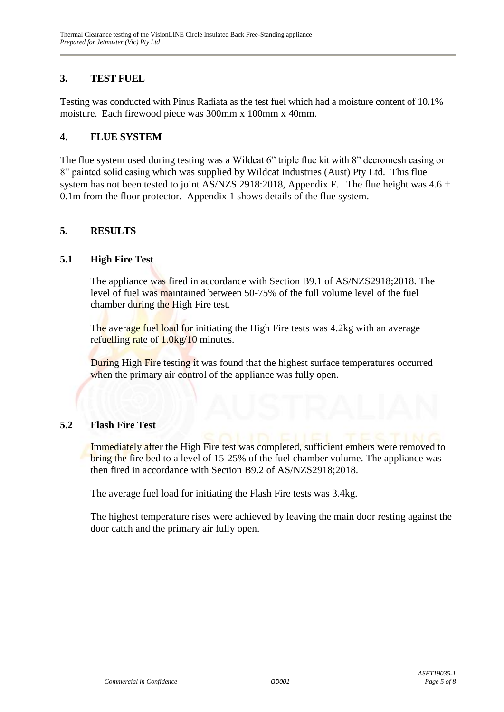## **3. TEST FUEL**

Testing was conducted with Pinus Radiata as the test fuel which had a moisture content of 10.1% moisture. Each firewood piece was 300mm x 100mm x 40mm.

#### **4. FLUE SYSTEM**

The flue system used during testing was a Wildcat 6" triple flue kit with 8" decromesh casing or 8" painted solid casing which was supplied by Wildcat Industries (Aust) Pty Ltd. This flue system has not been tested to joint AS/NZS 2918:2018, Appendix F. The flue height was  $4.6 \pm$ 0.1m from the floor protector. Appendix 1 shows details of the flue system.

#### **5. RESULTS**

#### **5.1 High Fire Test**

The appliance was fired in accordance with Section B9.1 of AS/NZS2918;2018. The level of fuel was maintained between 50-75% of the full volume level of the fuel chamber during the High Fire test.

The average fuel load for initiating the High Fire tests was 4.2kg with an average refuelling rate of  $1.0\text{kg}/10$  minutes.

During High Fire testing it was found that the highest surface temperatures occurred when the primary air control of the appliance was fully open.

#### **5.2 Flash Fire Test**

Immediately after the High Fire test was completed, sufficient embers were removed to bring the fire bed to a level of 15-25% of the fuel chamber volume. The appliance was then fired in accordance with Section B9.2 of AS/NZS2918;2018.

The average fuel load for initiating the Flash Fire tests was 3.4kg.

The highest temperature rises were achieved by leaving the main door resting against the door catch and the primary air fully open.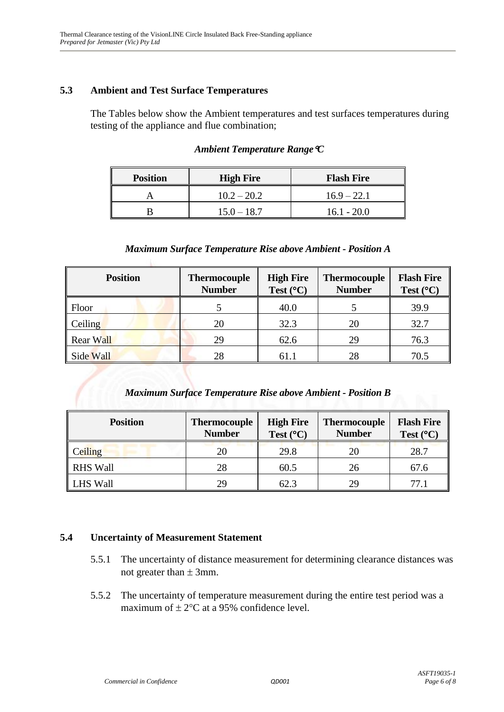#### **5.3 Ambient and Test Surface Temperatures**

The Tables below show the Ambient temperatures and test surfaces temperatures during testing of the appliance and flue combination;

| <b>Position</b> | <b>High Fire</b> | <b>Flash Fire</b> |
|-----------------|------------------|-------------------|
|                 | $10.2 - 20.2$    | $16.9 - 22.1$     |
|                 | $15.0 - 18.7$    | $16.1 - 20.0$     |

#### *Ambient Temperature RangeC*

#### *Maximum Surface Temperature Rise above Ambient - Position A*

| <b>Position</b>  | <b>Thermocouple</b><br><b>Number</b> | <b>High Fire</b><br>Test $(^{\circ}C)$ | <b>Thermocouple</b><br><b>Number</b> | <b>Flash Fire</b><br>Test $(^{\circ}C)$ |
|------------------|--------------------------------------|----------------------------------------|--------------------------------------|-----------------------------------------|
| Floor            |                                      | 40.0                                   |                                      | 39.9                                    |
| Ceiling          | 20                                   | 32.3                                   | 20                                   | 32.7                                    |
| <b>Rear Wall</b> | 29                                   | 62.6                                   | 29                                   | 76.3                                    |
| Side Wall        | 28                                   | 61.1                                   | 28                                   | 70.5                                    |

#### *Maximum Surface Temperature Rise above Ambient - Position B*

| <b>Position</b> | <b>Thermocouple</b><br><b>Number</b> | <b>High Fire</b><br>Test $(^{\circ}C)$ | <b>Thermocouple</b><br><b>Number</b> | <b>Flash Fire</b><br>Test $(^{\circ}C)$ |
|-----------------|--------------------------------------|----------------------------------------|--------------------------------------|-----------------------------------------|
| <b>Ceiling</b>  | 20                                   | 29.8                                   | 20                                   | 28.7                                    |
| <b>RHS Wall</b> | 28                                   | 60.5                                   | 26                                   | 67.6                                    |
| <b>LHS Wall</b> | 29                                   | 62.3                                   | 29                                   |                                         |

#### **5.4 Uncertainty of Measurement Statement**

- 5.5.1 The uncertainty of distance measurement for determining clearance distances was not greater than  $\pm$  3mm.
- 5.5.2 The uncertainty of temperature measurement during the entire test period was a maximum of  $\pm 2$ °C at a 95% confidence level.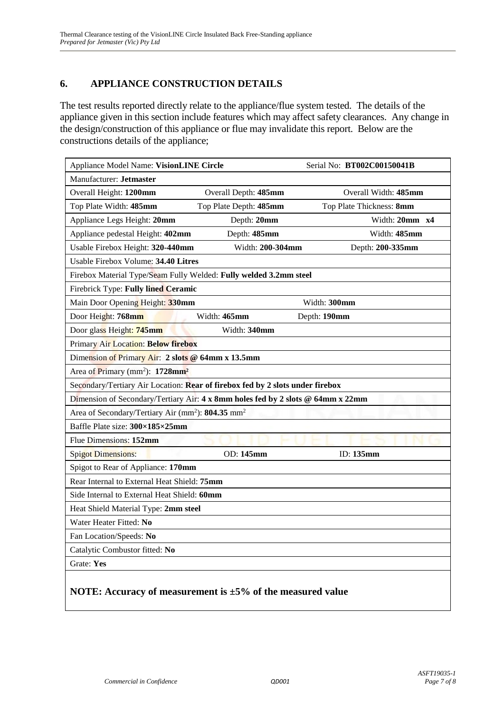## **6. APPLIANCE CONSTRUCTION DETAILS**

The test results reported directly relate to the appliance/flue system tested. The details of the appliance given in this section include features which may affect safety clearances. Any change in the design/construction of this appliance or flue may invalidate this report. Below are the constructions details of the appliance;

| Appliance Model Name: VisionLINE Circle                                         |                        | Serial No: BT002C00150041B |
|---------------------------------------------------------------------------------|------------------------|----------------------------|
| Manufacturer: Jetmaster                                                         |                        |                            |
| Overall Height: 1200mm                                                          | Overall Depth: 485mm   | Overall Width: 485mm       |
| Top Plate Width: 485mm                                                          | Top Plate Depth: 485mm | Top Plate Thickness: 8mm   |
| Appliance Legs Height: 20mm                                                     | Depth: 20mm            | Width: 20mm x4             |
| Appliance pedestal Height: 402mm                                                | Depth: 485mm           | Width: 485mm               |
| Usable Firebox Height: 320-440mm                                                | Width: 200-304mm       | Depth: 200-335mm           |
| Usable Firebox Volume: 34.40 Litres                                             |                        |                            |
| Firebox Material Type/Seam Fully Welded: Fully welded 3.2mm steel               |                        |                            |
| Firebrick Type: Fully lined Ceramic                                             |                        |                            |
| Main Door Opening Height: 330mm                                                 |                        | Width: 300mm               |
| Door Height: 768mm                                                              | Width: 465mm           | Depth: 190mm               |
| Door glass Height: 745mm                                                        | Width: 340mm           |                            |
| Primary Air Location: Below firebox                                             |                        |                            |
| Dimension of Primary Air: 2 slots @ 64mm x 13.5mm                               |                        |                            |
| Area of Primary (mm <sup>2</sup> ): 1728mm <sup>2</sup>                         |                        |                            |
| Secondary/Tertiary Air Location: Rear of firebox fed by 2 slots under firebox   |                        |                            |
| Dimension of Secondary/Tertiary Air: 4 x 8mm holes fed by 2 slots @ 64mm x 22mm |                        |                            |
| Area of Secondary/Tertiary Air (mm <sup>2</sup> ): 804.35 mm <sup>2</sup>       |                        |                            |
| Baffle Plate size: 300×185×25mm                                                 |                        |                            |
| Flue Dimensions: 152mm                                                          |                        |                            |
| <b>Spigot Dimensions:</b>                                                       | OD: 145mm              | ID: 135mm                  |
| Spigot to Rear of Appliance: 170mm                                              |                        |                            |
| Rear Internal to External Heat Shield: 75mm                                     |                        |                            |
| Side Internal to External Heat Shield: 60mm                                     |                        |                            |
| Heat Shield Material Type: 2mm steel                                            |                        |                            |
| Water Heater Fitted: No                                                         |                        |                            |
| Fan Location/Speeds: No                                                         |                        |                            |
| Catalytic Combustor fitted: No                                                  |                        |                            |
| Grate: Yes                                                                      |                        |                            |
| NOTE: Accuracy of measurement is $\pm 5\%$ of the measured value                |                        |                            |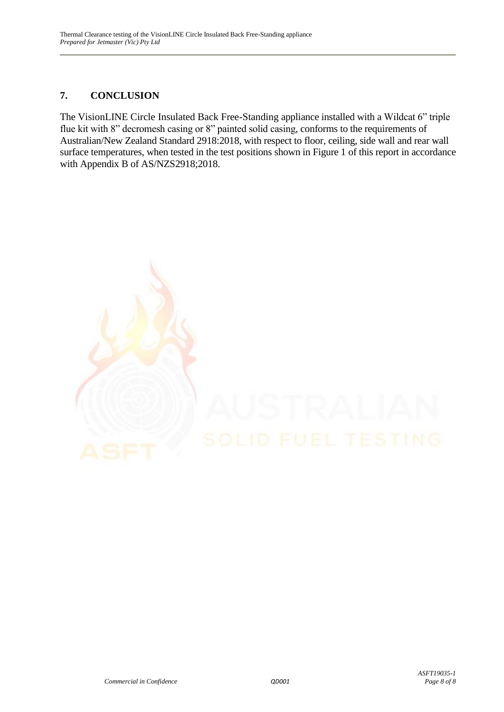### **7. CONCLUSION**

The VisionLINE Circle Insulated Back Free-Standing appliance installed with a Wildcat 6" triple flue kit with 8" decromesh casing or 8" painted solid casing, conforms to the requirements of Australian/New Zealand Standard 2918:2018, with respect to floor, ceiling, side wall and rear wall surface temperatures, when tested in the test positions shown in Figure 1 of this report in accordance with Appendix B of AS/NZS2918;2018.